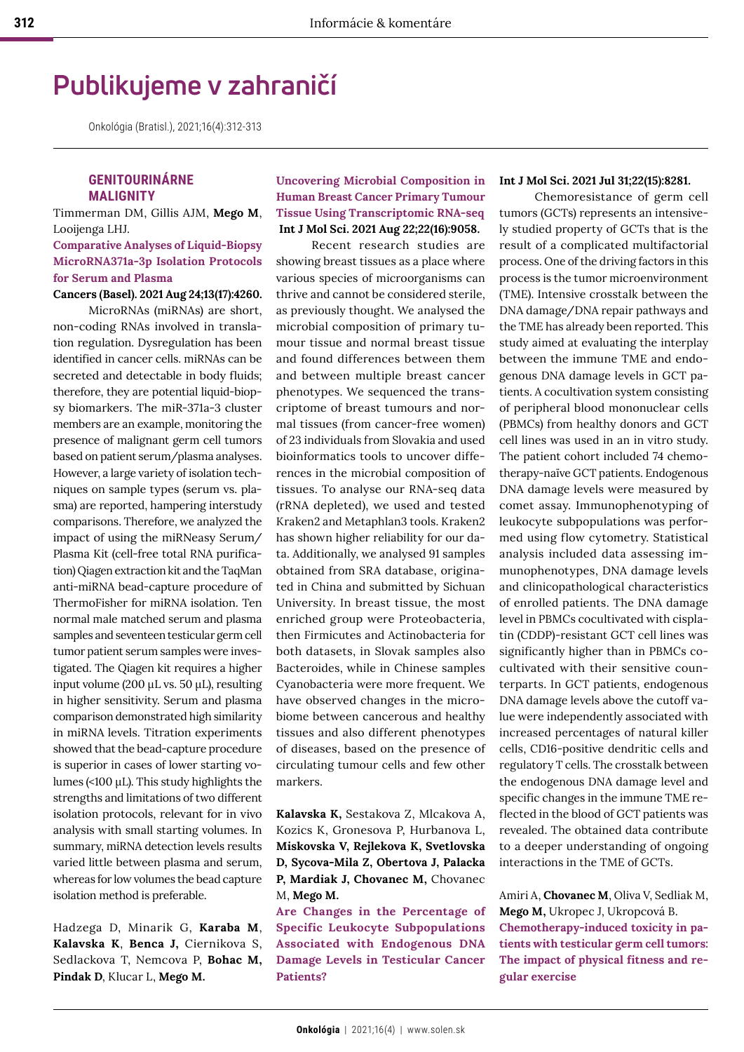# **Publikujeme v zahraničí**

Onkológia (Bratisl.), 2021;16(4):312-313

# **GENITOURINÁRNE MALIGNITY**

Timmerman DM, Gillis AJM, **Mego M**, Looijenga LHJ.

## **Comparative Analyses of Liquid-Biopsy MicroRNA371a-3p Isolation Protocols for Serum and Plasma**

## **Cancers (Basel). 2021 Aug 24;13(17):4260.** MicroRNAs (miRNAs) are short,

non-coding RNAs involved in translation regulation. Dysregulation has been identified in cancer cells. miRNAs can be secreted and detectable in body fluids; therefore, they are potential liquid-biopsy biomarkers. The miR-371a-3 cluster members are an example, monitoring the presence of malignant germ cell tumors based on patient serum/plasma analyses. However, a large variety of isolation techniques on sample types (serum vs. plasma) are reported, hampering interstudy comparisons. Therefore, we analyzed the impact of using the miRNeasy Serum/ Plasma Kit (cell-free total RNA purification) Qiagen extraction kit and the TaqMan anti-miRNA bead-capture procedure of ThermoFisher for miRNA isolation. Ten normal male matched serum and plasma samples and seventeen testicular germ cell tumor patient serum samples were investigated. The Qiagen kit requires a higher input volume (200 µL vs. 50 µL), resulting in higher sensitivity. Serum and plasma comparison demonstrated high similarity in miRNA levels. Titration experiments showed that the bead-capture procedure is superior in cases of lower starting volumes (<100 µL). This study highlights the strengths and limitations of two different isolation protocols, relevant for in vivo analysis with small starting volumes. In summary, miRNA detection levels results varied little between plasma and serum, whereas for low volumes the bead capture isolation method is preferable.

Hadzega D, Minarik G, **Karaba M**, **Kalavska K**, **Benca J,** Ciernikova S, Sedlackova T, Nemcova P, **Bohac M, Pindak D**, Klucar L, **Mego M.**

## **Uncovering Microbial Composition in Human Breast Cancer Primary Tumour Tissue Using Transcriptomic RNA-seq Int J Mol Sci. 2021 Aug 22;22(16):9058.**

Recent research studies are showing breast tissues as a place where various species of microorganisms can thrive and cannot be considered sterile, as previously thought. We analysed the microbial composition of primary tumour tissue and normal breast tissue and found differences between them and between multiple breast cancer phenotypes. We sequenced the transcriptome of breast tumours and normal tissues (from cancer-free women) of 23 individuals from Slovakia and used bioinformatics tools to uncover differences in the microbial composition of tissues. To analyse our RNA-seq data (rRNA depleted), we used and tested Kraken2 and Metaphlan3 tools. Kraken2 has shown higher reliability for our data. Additionally, we analysed 91 samples obtained from SRA database, originated in China and submitted by Sichuan University. In breast tissue, the most enriched group were Proteobacteria, then Firmicutes and Actinobacteria for both datasets, in Slovak samples also Bacteroides, while in Chinese samples Cyanobacteria were more frequent. We have observed changes in the microbiome between cancerous and healthy tissues and also different phenotypes of diseases, based on the presence of circulating tumour cells and few other markers.

**Kalavska K,** Sestakova Z, Mlcakova A, Kozics K, Gronesova P, Hurbanova L, **Miskovska V, Rejlekova K, Svetlovska D, Sycova-Mila Z, Obertova J, Palacka P, Mardiak J, Chovanec M,** Chovanec M, **Mego M.** 

**Are Changes in the Percentage of Specific Leukocyte Subpopulations Associated with Endogenous DNA Damage Levels in Testicular Cancer Patients?** 

#### **Int J Mol Sci. 2021 Jul 31;22(15):8281.**

Chemoresistance of germ cell tumors (GCTs) represents an intensively studied property of GCTs that is the result of a complicated multifactorial process. One of the driving factors in this process is the tumor microenvironment (TME). Intensive crosstalk between the DNA damage/DNA repair pathways and the TME has already been reported. This study aimed at evaluating the interplay between the immune TME and endogenous DNA damage levels in GCT patients. A cocultivation system consisting of peripheral blood mononuclear cells (PBMCs) from healthy donors and GCT cell lines was used in an in vitro study. The patient cohort included 74 chemotherapy-naïve GCT patients. Endogenous DNA damage levels were measured by comet assay. Immunophenotyping of leukocyte subpopulations was performed using flow cytometry. Statistical analysis included data assessing immunophenotypes, DNA damage levels and clinicopathological characteristics of enrolled patients. The DNA damage level in PBMCs cocultivated with cisplatin (CDDP)-resistant GCT cell lines was significantly higher than in PBMCs cocultivated with their sensitive counterparts. In GCT patients, endogenous DNA damage levels above the cutoff value were independently associated with increased percentages of natural killer cells, CD16-positive dendritic cells and regulatory T cells. The crosstalk between the endogenous DNA damage level and specific changes in the immune TME reflected in the blood of GCT patients was revealed. The obtained data contribute to a deeper understanding of ongoing interactions in the TME of GCTs.

Amiri A, **Chovanec M**, Oliva V, Sedliak M, **Mego M,** Ukropec J, Ukropcová B. **Chemotherapy-induced toxicity in patients with testicular germ cell tumors: The impact of physical fitness and regular exercise**